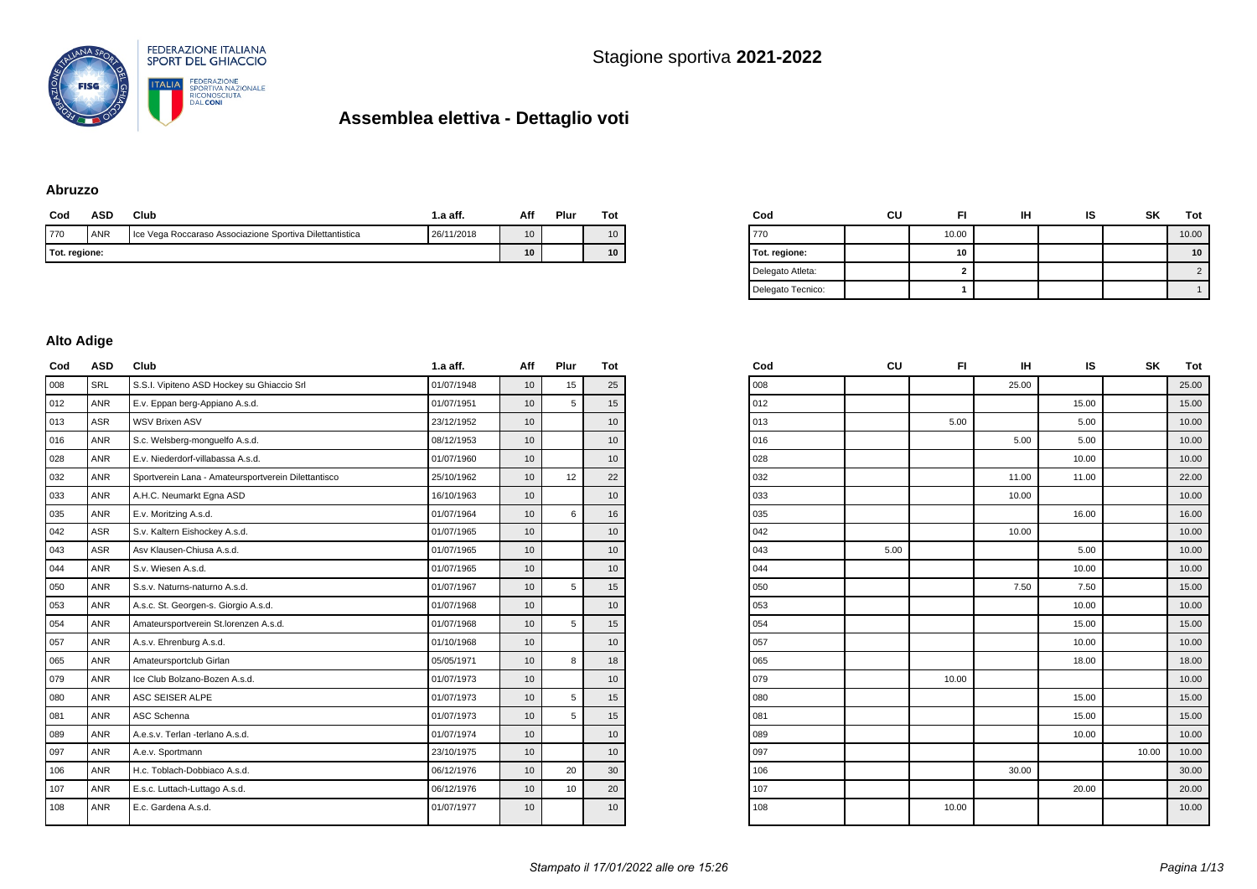

#### **Abruzzo**

| Cod           | ASD | Club                                                     | 1.a aff.   | Aff | Plur | Tot |
|---------------|-----|----------------------------------------------------------|------------|-----|------|-----|
| 770           | ANR | Ice Vega Roccaraso Associazione Sportiva Dilettantistica | 26/11/2018 | 10  |      | 10  |
| Tot. regione: |     |                                                          | 10         |     | 10   |     |

| Cod               | CU | FI    | ін | ıs | <b>SK</b> | Tot        |
|-------------------|----|-------|----|----|-----------|------------|
| 770               |    | 10.00 |    |    |           | 10.00      |
| Tot. regione:     |    | 10    |    |    |           | 10         |
| Delegato Atleta:  |    | 2     |    |    |           | $\sqrt{2}$ |
| Delegato Tecnico: |    |       |    |    |           |            |

#### **Alto Adige**

| Cod | ASD        | Club                                                | 1.a aff.   | Aff              | Plur | Tot              |
|-----|------------|-----------------------------------------------------|------------|------------------|------|------------------|
| 008 | <b>SRL</b> | S.S.I. Vipiteno ASD Hockey su Ghiaccio Srl          | 01/07/1948 | 10               | 15   | 25               |
| 012 | <b>ANR</b> | E.v. Eppan berg-Appiano A.s.d.                      | 01/07/1951 | 10               | 5    | 15               |
| 013 | <b>ASR</b> | <b>WSV Brixen ASV</b>                               | 23/12/1952 | 10 <sup>1</sup>  |      | 10 <sup>1</sup>  |
| 016 | <b>ANR</b> | S.c. Welsberg-monquelfo A.s.d.                      | 08/12/1953 | 10 <sup>1</sup>  |      | 10               |
| 028 | <b>ANR</b> | E.v. Niederdorf-villabassa A.s.d.                   | 01/07/1960 | 10               |      | 10               |
| 032 | <b>ANR</b> | Sportverein Lana - Amateursportverein Dilettantisco | 25/10/1962 | 10               | 12   | 22               |
| 033 | <b>ANR</b> | A.H.C. Neumarkt Egna ASD                            | 16/10/1963 | 10               |      | 10               |
| 035 | <b>ANR</b> | E.v. Moritzing A.s.d.                               | 01/07/1964 | 10               | 6    | 16               |
| 042 | <b>ASR</b> | S.v. Kaltern Eishockey A.s.d.                       | 01/07/1965 | 10               |      | 10               |
| 043 | <b>ASR</b> | Asy Klausen-Chiusa A.s.d.                           | 01/07/1965 | 10               |      | 10               |
| 044 | <b>ANR</b> | S.v. Wiesen A.s.d.                                  | 01/07/1965 | 10               |      | 10               |
| 050 | <b>ANR</b> | S.s.v. Naturns-naturno A.s.d.                       | 01/07/1967 | 10               | 5    | 15               |
| 053 | <b>ANR</b> | A.s.c. St. Georgen-s. Giorgio A.s.d.                | 01/07/1968 | 10               |      | 10               |
| 054 | <b>ANR</b> | Amateursportverein St.lorenzen A.s.d.               | 01/07/1968 | 10 <sup>1</sup>  | 5    | 15               |
| 057 | <b>ANR</b> | A.s.v. Ehrenburg A.s.d.                             | 01/10/1968 | 10               |      | 10               |
| 065 | <b>ANR</b> | Amateursportclub Girlan                             | 05/05/1971 | 10               | 8    | 18               |
| 079 | <b>ANR</b> | Ice Club Bolzano-Bozen A.s.d.                       | 01/07/1973 | 10               |      | 10               |
| 080 | <b>ANR</b> | ASC SEISER ALPE                                     | 01/07/1973 | 10               | 5    | 15               |
| 081 | <b>ANR</b> | ASC Schenna                                         | 01/07/1973 | 10 <sup>10</sup> | 5    | 15               |
| 089 | <b>ANR</b> | A.e.s.v. Terlan -terlano A.s.d.                     | 01/07/1974 | 10               |      | 10 <sup>10</sup> |
| 097 | <b>ANR</b> | A.e.v. Sportmann                                    | 23/10/1975 | 10               |      | 10               |
| 106 | <b>ANR</b> | H.c. Toblach-Dobbiaco A.s.d.                        | 06/12/1976 | 10               | 20   | 30               |
| 107 | <b>ANR</b> | E.s.c. Luttach-Luttago A.s.d.                       | 06/12/1976 | 10 <sup>10</sup> | 10   | 20               |
| 108 | <b>ANR</b> | E.c. Gardena A.s.d.                                 | 01/07/1977 | 10               |      | 10               |
|     |            |                                                     |            |                  |      |                  |

| Cod | CU   | FI    | IH    | IS    | SK    | Tot   |
|-----|------|-------|-------|-------|-------|-------|
| 008 |      |       | 25.00 |       |       | 25.00 |
| 012 |      |       |       | 15.00 |       | 15.00 |
| 013 |      | 5.00  |       | 5.00  |       | 10.00 |
| 016 |      |       | 5.00  | 5.00  |       | 10.00 |
| 028 |      |       |       | 10.00 |       | 10.00 |
| 032 |      |       | 11.00 | 11.00 |       | 22.00 |
| 033 |      |       | 10.00 |       |       | 10.00 |
| 035 |      |       |       | 16.00 |       | 16.00 |
| 042 |      |       | 10.00 |       |       | 10.00 |
| 043 | 5.00 |       |       | 5.00  |       | 10.00 |
| 044 |      |       |       | 10.00 |       | 10.00 |
| 050 |      |       | 7.50  | 7.50  |       | 15.00 |
| 053 |      |       |       | 10.00 |       | 10.00 |
| 054 |      |       |       | 15.00 |       | 15.00 |
| 057 |      |       |       | 10.00 |       | 10.00 |
| 065 |      |       |       | 18.00 |       | 18.00 |
| 079 |      | 10.00 |       |       |       | 10.00 |
| 080 |      |       |       | 15.00 |       | 15.00 |
| 081 |      |       |       | 15.00 |       | 15.00 |
| 089 |      |       |       | 10.00 |       | 10.00 |
| 097 |      |       |       |       | 10.00 | 10.00 |
| 106 |      |       | 30.00 |       |       | 30.00 |
| 107 |      |       |       | 20.00 |       | 20.00 |
| 108 |      | 10.00 |       |       |       | 10.00 |
|     |      |       |       |       |       |       |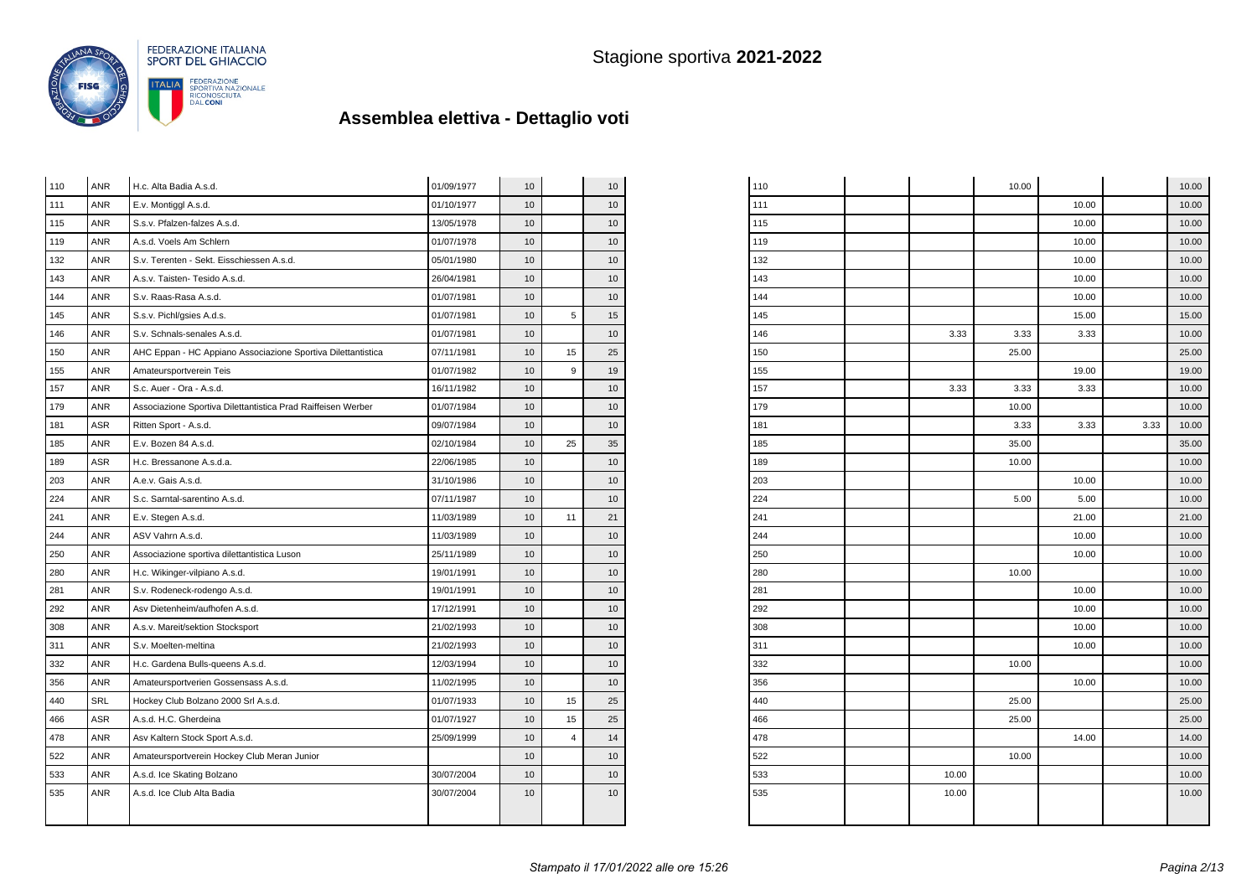

| 110 | <b>ANR</b> | H.c. Alta Badia A.s.d.                                       | 01/09/1977 | 10 |    | 10              |
|-----|------------|--------------------------------------------------------------|------------|----|----|-----------------|
| 111 | ANR        | E.v. Montiggl A.s.d.                                         | 01/10/1977 | 10 |    | 10              |
| 115 | <b>ANR</b> | S.s.v. Pfalzen-falzes A.s.d.                                 | 13/05/1978 | 10 |    | 10              |
| 119 | ANR        | A.s.d. Voels Am Schlern                                      | 01/07/1978 | 10 |    | 10              |
| 132 | <b>ANR</b> | S.v. Terenten - Sekt. Eisschiessen A.s.d.                    | 05/01/1980 | 10 |    | 10              |
| 143 | ANR        | A.s.v. Taisten- Tesido A.s.d.                                | 26/04/1981 | 10 |    | 10              |
| 144 | <b>ANR</b> | S.v. Raas-Rasa A.s.d.                                        | 01/07/1981 | 10 |    | 10              |
| 145 | <b>ANR</b> | S.s.v. Pichl/gsies A.d.s.                                    | 01/07/1981 | 10 | 5  | 15              |
| 146 | <b>ANR</b> | S.v. Schnals-senales A.s.d.                                  | 01/07/1981 | 10 |    | 10              |
| 150 | <b>ANR</b> | AHC Eppan - HC Appiano Associazione Sportiva Dilettantistica | 07/11/1981 | 10 | 15 | 25              |
| 155 | <b>ANR</b> | Amateursportverein Teis                                      | 01/07/1982 | 10 | 9  | 19              |
| 157 | <b>ANR</b> | S.c. Auer - Ora - A.s.d.                                     | 16/11/1982 | 10 |    | 10              |
| 179 | <b>ANR</b> | Associazione Sportiva Dilettantistica Prad Raiffeisen Werber | 01/07/1984 | 10 |    | 10              |
| 181 | <b>ASR</b> | Ritten Sport - A.s.d.                                        | 09/07/1984 | 10 |    | 10              |
| 185 | ANR        | E.v. Bozen 84 A.s.d.                                         | 02/10/1984 | 10 | 25 | 35              |
| 189 | ASR        | H.c. Bressanone A.s.d.a.                                     | 22/06/1985 | 10 |    | 10              |
| 203 | <b>ANR</b> | A.e.v. Gais A.s.d.                                           | 31/10/1986 | 10 |    | 10              |
| 224 | <b>ANR</b> | S.c. Sarntal-sarentino A.s.d.                                | 07/11/1987 | 10 |    | 10              |
| 241 | <b>ANR</b> | E.v. Stegen A.s.d.                                           | 11/03/1989 | 10 | 11 | 21              |
| 244 | <b>ANR</b> | ASV Vahrn A.s.d.                                             | 11/03/1989 | 10 |    | 10              |
| 250 | <b>ANR</b> | Associazione sportiva dilettantistica Luson                  | 25/11/1989 | 10 |    | 10              |
| 280 | <b>ANR</b> | H.c. Wikinger-vilpiano A.s.d.                                | 19/01/1991 | 10 |    | 10              |
| 281 | ANR        | S.v. Rodeneck-rodengo A.s.d.                                 | 19/01/1991 | 10 |    | 10 <sup>1</sup> |
| 292 | ANR        | Asv Dietenheim/aufhofen A.s.d.                               | 17/12/1991 | 10 |    | 10              |
| 308 | ANR        | A.s.v. Mareit/sektion Stocksport                             | 21/02/1993 | 10 |    | 10              |
| 311 | <b>ANR</b> | S.v. Moelten-meltina                                         | 21/02/1993 | 10 |    | 10              |
| 332 | <b>ANR</b> | H.c. Gardena Bulls-queens A.s.d.                             | 12/03/1994 | 10 |    | 10              |
| 356 | <b>ANR</b> | Amateursportverien Gossensass A.s.d.                         | 11/02/1995 | 10 |    | 10 <sup>1</sup> |
| 440 | <b>SRL</b> | Hockey Club Bolzano 2000 Srl A.s.d.                          | 01/07/1933 | 10 | 15 | 25              |
| 466 | <b>ASR</b> | A.s.d. H.C. Gherdeina                                        | 01/07/1927 | 10 | 15 | 25              |
| 478 | <b>ANR</b> | Asv Kaltern Stock Sport A.s.d.                               | 25/09/1999 | 10 | 4  | 14              |
| 522 | <b>ANR</b> | Amateursportverein Hockey Club Meran Junior                  |            | 10 |    | 10              |
| 533 | <b>ANR</b> | A.s.d. Ice Skating Bolzano                                   | 30/07/2004 | 10 |    | 10              |
| 535 | <b>ANR</b> | A.s.d. Ice Club Alta Badia                                   | 30/07/2004 | 10 |    | 10              |
|     |            |                                                              |            |    |    |                 |
|     |            |                                                              |            |    |    |                 |

| 110 |       | 10.00 |       |      | 10.00 |
|-----|-------|-------|-------|------|-------|
| 111 |       |       | 10.00 |      | 10.00 |
| 115 |       |       | 10.00 |      | 10.00 |
| 119 |       |       | 10.00 |      | 10.00 |
| 132 |       |       | 10.00 |      | 10.00 |
| 143 |       |       | 10.00 |      | 10.00 |
| 144 |       |       | 10.00 |      | 10.00 |
| 145 |       |       | 15.00 |      | 15.00 |
| 146 | 3.33  | 3.33  | 3.33  |      | 10.00 |
| 150 |       | 25.00 |       |      | 25.00 |
| 155 |       |       | 19.00 |      | 19.00 |
| 157 | 3.33  | 3.33  | 3.33  |      | 10.00 |
| 179 |       | 10.00 |       |      | 10.00 |
| 181 |       | 3.33  | 3.33  | 3.33 | 10.00 |
| 185 |       | 35.00 |       |      | 35.00 |
| 189 |       | 10.00 |       |      | 10.00 |
| 203 |       |       | 10.00 |      | 10.00 |
| 224 |       | 5.00  | 5.00  |      | 10.00 |
| 241 |       |       | 21.00 |      | 21.00 |
| 244 |       |       | 10.00 |      | 10.00 |
| 250 |       |       | 10.00 |      | 10.00 |
| 280 |       | 10.00 |       |      | 10.00 |
| 281 |       |       | 10.00 |      | 10.00 |
| 292 |       |       | 10.00 |      | 10.00 |
| 308 |       |       | 10.00 |      | 10.00 |
| 311 |       |       | 10.00 |      | 10.00 |
| 332 |       | 10.00 |       |      | 10.00 |
| 356 |       |       | 10.00 |      | 10.00 |
| 440 |       | 25.00 |       |      | 25.00 |
| 466 |       | 25.00 |       |      | 25.00 |
| 478 |       |       | 14.00 |      | 14.00 |
| 522 |       | 10.00 |       |      | 10.00 |
| 533 | 10.00 |       |       |      | 10.00 |
| 535 | 10.00 |       |       |      | 10.00 |
|     |       |       |       |      |       |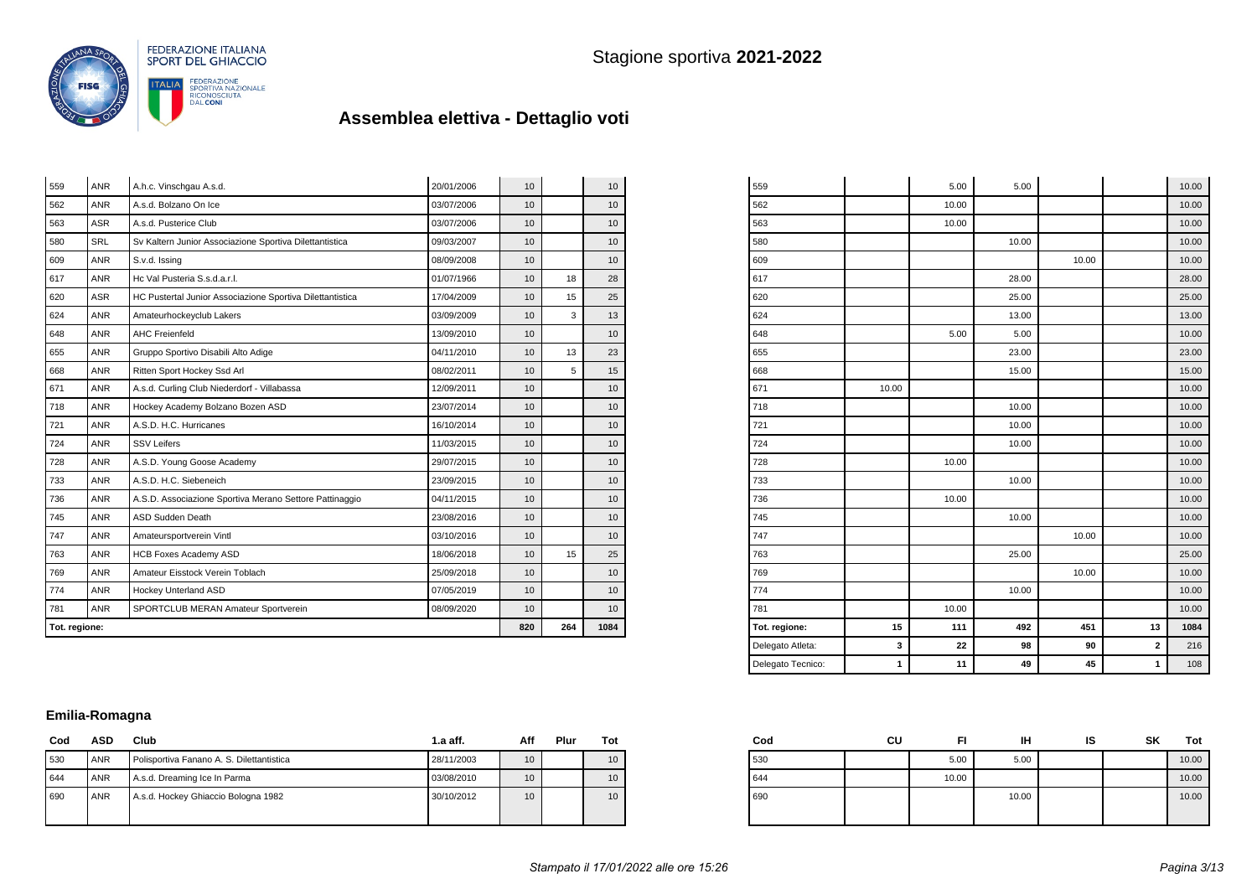

| Tot. regione: |                                                | 820                                                       | 264        | 1084            |    |                  |
|---------------|------------------------------------------------|-----------------------------------------------------------|------------|-----------------|----|------------------|
| 781           | <b>ANR</b>                                     | SPORTCLUB MERAN Amateur Sportverein                       | 08/09/2020 | 10              |    | 10 <sup>10</sup> |
| 774           | <b>ANR</b>                                     | Hockey Unterland ASD                                      | 07/05/2019 | 10              |    | 10 <sup>°</sup>  |
| 769           | <b>ANR</b>                                     | Amateur Eisstock Verein Toblach                           | 25/09/2018 | 10              |    | 10 <sup>°</sup>  |
| 763           | <b>ANR</b>                                     | <b>HCB Foxes Academy ASD</b>                              | 18/06/2018 | 10 <sup>1</sup> | 15 | 25               |
| 747           | <b>ANR</b>                                     | Amateursportverein Vintl                                  | 03/10/2016 | 10              |    | 10               |
| 745           | <b>ANR</b>                                     | <b>ASD Sudden Death</b>                                   | 23/08/2016 | 10              |    | 10 <sup>°</sup>  |
| 736           | <b>ANR</b>                                     | A.S.D. Associazione Sportiva Merano Settore Pattinaggio   | 04/11/2015 | 10 <sup>1</sup> |    | 10               |
| 733           | <b>ANR</b>                                     | A.S.D. H.C. Siebeneich                                    | 23/09/2015 | 10              |    | 10               |
| 728           | <b>ANR</b>                                     | A.S.D. Young Goose Academy                                | 29/07/2015 | 10              |    | 10               |
| 724           | <b>ANR</b>                                     | <b>SSV Leifers</b>                                        | 11/03/2015 | 10              |    | 10 <sup>°</sup>  |
| 721           | <b>ANR</b>                                     | A.S.D. H.C. Hurricanes                                    | 16/10/2014 | 10              |    | 10               |
| 718           | <b>ANR</b><br>Hockey Academy Bolzano Bozen ASD |                                                           | 23/07/2014 | 10              |    | 10               |
| 671           | <b>ANR</b>                                     | A.s.d. Curling Club Niederdorf - Villabassa               | 12/09/2011 | 10              |    | 10               |
| 668           | <b>ANR</b>                                     | Ritten Sport Hockey Ssd Arl                               | 08/02/2011 | 10 <sup>1</sup> | 5  | 15               |
| 655           | <b>ANR</b>                                     | Gruppo Sportivo Disabili Alto Adige                       | 04/11/2010 | 10              | 13 | 23               |
| 648           | <b>ANR</b>                                     | <b>AHC Freienfeld</b>                                     | 13/09/2010 | 10              |    | 10 <sup>°</sup>  |
| 624           | <b>ANR</b>                                     | Amateurhockeyclub Lakers                                  | 03/09/2009 | 10              | 3  | 13               |
| 620           | <b>ASR</b>                                     | HC Pustertal Junior Associazione Sportiva Dilettantistica | 17/04/2009 | 10              | 15 | 25               |
| 617           | <b>ANR</b>                                     | Hc Val Pusteria S.s.d.a.r.l.                              | 01/07/1966 | 10              | 18 | 28               |
| 609           | <b>ANR</b>                                     | S.v.d. Issing                                             | 08/09/2008 | 10              |    | 10               |
| 580           | SRL                                            | Sv Kaltern Junior Associazione Sportiva Dilettantistica   | 09/03/2007 | 10              |    | 10               |
| 563           | <b>ASR</b>                                     | A.s.d. Pusterice Club                                     | 03/07/2006 | 10              |    | 10 <sup>°</sup>  |
| 562           | <b>ANR</b>                                     | A.s.d. Bolzano On Ice                                     | 03/07/2006 | 10              |    | 10 <sup>°</sup>  |
| 559           | <b>ANR</b>                                     | A.h.c. Vinschgau A.s.d.                                   | 20/01/2006 | 10              |    | 10               |

| 559               |       | 5.00  | 5.00  |       |             | 10.00 |
|-------------------|-------|-------|-------|-------|-------------|-------|
| 562               |       | 10.00 |       |       |             | 10.00 |
| 563               |       | 10.00 |       |       |             | 10.00 |
| 580               |       |       | 10.00 |       |             | 10.00 |
| 609               |       |       |       | 10.00 |             | 10.00 |
| 617               |       |       | 28.00 |       |             | 28.00 |
| 620               |       |       | 25.00 |       |             | 25.00 |
| 624               |       |       | 13.00 |       |             | 13.00 |
| 648               |       | 5.00  | 5.00  |       |             | 10.00 |
| 655               |       |       | 23.00 |       |             | 23.00 |
| 668               |       |       | 15.00 |       |             | 15.00 |
| 671               | 10.00 |       |       |       |             | 10.00 |
| 718               |       |       | 10.00 |       |             | 10.00 |
| 721               |       |       | 10.00 |       |             | 10.00 |
| 724               |       |       | 10.00 |       |             | 10.00 |
| 728               |       | 10.00 |       |       |             | 10.00 |
| 733               |       |       | 10.00 |       |             | 10.00 |
| 736               |       | 10.00 |       |       |             | 10.00 |
| 745               |       |       | 10.00 |       |             | 10.00 |
| 747               |       |       |       | 10.00 |             | 10.00 |
| 763               |       |       | 25.00 |       |             | 25.00 |
| 769               |       |       |       | 10.00 |             | 10.00 |
| 774               |       |       | 10.00 |       |             | 10.00 |
| 781               |       | 10.00 |       |       |             | 10.00 |
| Tot. regione:     | 15    | 111   | 492   | 451   | 13          | 1084  |
| Delegato Atleta:  | 3     | 22    | 98    | 90    | $\mathbf 2$ | 216   |
| Delegato Tecnico: | 1     | 11    | 49    | 45    | 1           | 108   |

### **Emilia-Romagna**

| Cod | ASD        | Club                                      | $1.a$ aff. | Aff             | Plur | Tot |
|-----|------------|-------------------------------------------|------------|-----------------|------|-----|
| 530 | <b>ANR</b> | Polisportiva Fanano A. S. Dilettantistica | 28/11/2003 | 10 <sup>°</sup> |      | 10  |
| 644 | <b>ANR</b> | A.s.d. Dreaming Ice In Parma              | 03/08/2010 | 10 <sup>°</sup> |      | 10  |
| 690 | <b>ANR</b> | A.s.d. Hockey Ghiaccio Bologna 1982       | 30/10/2012 | 10 <sup>°</sup> |      | 10  |
|     |            |                                           |            |                 |      |     |

| Cod | CU | FI    | ін    | ıs | SK | Tot   |
|-----|----|-------|-------|----|----|-------|
| 530 |    | 5.00  | 5.00  |    |    | 10.00 |
| 644 |    | 10.00 |       |    |    | 10.00 |
| 690 |    |       | 10.00 |    |    | 10.00 |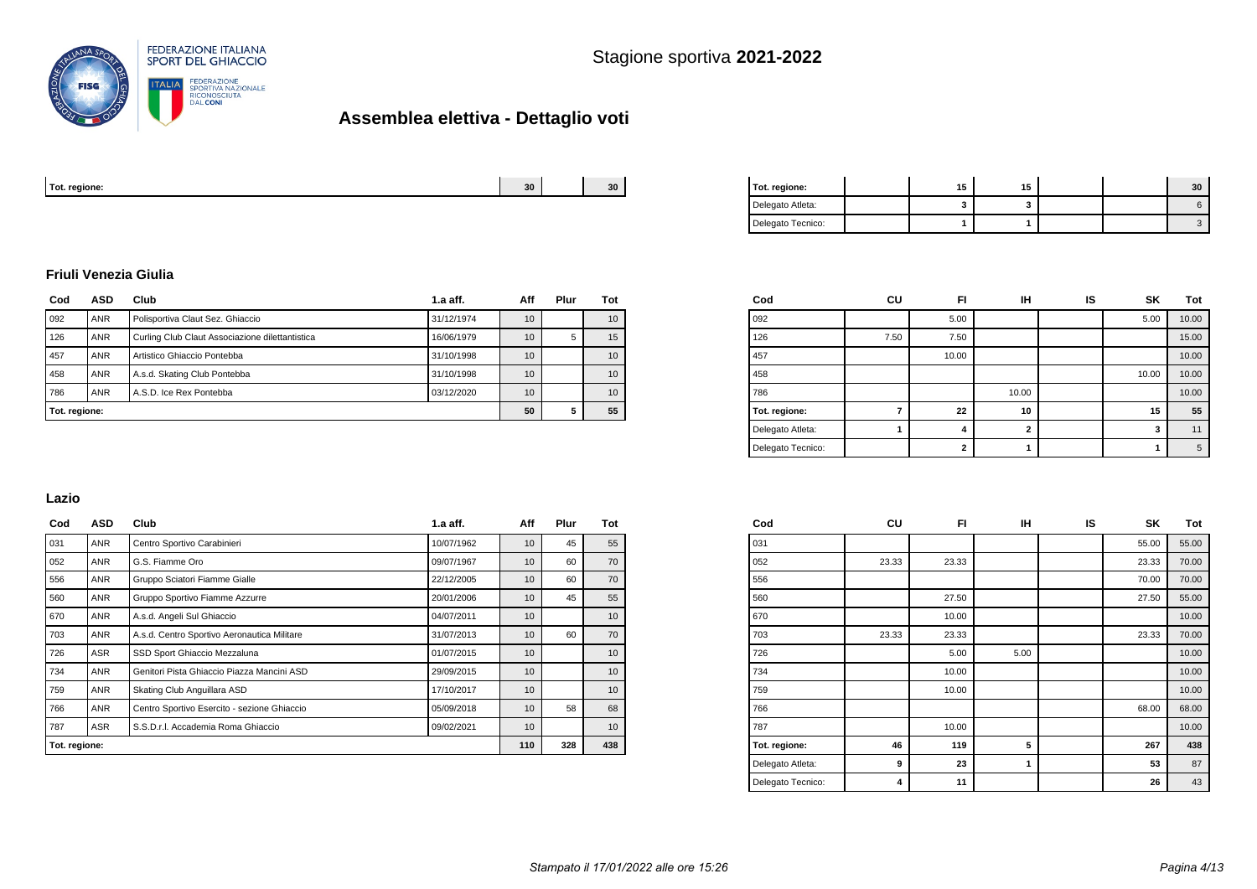

| Tot. regione: | 30. | $\sim$<br>3U | regione.<br>1 U L. |  |  |  |
|---------------|-----|--------------|--------------------|--|--|--|
|               |     |              |                    |  |  |  |

| Tot. regione:     | 15 | 15 |  | 30 |
|-------------------|----|----|--|----|
| Delegato Atleta:  |    |    |  |    |
| Delegato Tecnico: |    |    |  |    |

#### **Friuli Venezia Giulia**

| Cod           | ASD        | Club                                            | $1.a$ aff. | Aff             | Plur | Tot |
|---------------|------------|-------------------------------------------------|------------|-----------------|------|-----|
| 092           | <b>ANR</b> | Polisportiva Claut Sez. Ghiaccio                | 10         |                 | 10   |     |
| 126           | <b>ANR</b> | Curling Club Claut Associazione dilettantistica | 10         | 5               | 15   |     |
| 457           | <b>ANR</b> | Artistico Ghiaccio Pontebba                     | 10         |                 | 10   |     |
| 458           | <b>ANR</b> | A.s.d. Skating Club Pontebba<br>31/10/1998      |            |                 |      | 10  |
| 786           | <b>ANR</b> | A.S.D. Ice Rex Pontebba                         | 03/12/2020 | 10 <sup>1</sup> |      | 10  |
| Tot. regione: |            | 50                                              | 5          | 55              |      |     |

| Cod               | CU   | FI             | <b>IH</b>      | IS | <b>SK</b> | Tot   |
|-------------------|------|----------------|----------------|----|-----------|-------|
| 092               |      | 5.00           |                |    | 5.00      | 10.00 |
| 126               | 7.50 | 7.50           |                |    |           | 15.00 |
| 457               |      | 10.00          |                |    |           | 10.00 |
| 458               |      |                |                |    | 10.00     | 10.00 |
| 786               |      |                | 10.00          |    |           | 10.00 |
| Tot. regione:     | 7    | 22             | 10             |    | 15        | 55    |
| Delegato Atleta:  |      | 4              | $\overline{2}$ |    | 3         | 11    |
| Delegato Tecnico: |      | $\overline{2}$ |                |    |           | 5     |

#### **Lazio**

| Cod           | <b>ASD</b> | Club                                        | $1.a$ aff. | Aff             | Plur | Tot |
|---------------|------------|---------------------------------------------|------------|-----------------|------|-----|
| 031           | ANR        | Centro Sportivo Carabinieri                 | 10/07/1962 | 10              | 45   | 55  |
| 052           | ANR        | G.S. Fiamme Oro                             | 09/07/1967 | 10              | 60   | 70  |
| 556           | <b>ANR</b> | Gruppo Sciatori Fiamme Gialle<br>22/12/2005 |            | 10              | 60   | 70  |
| 560           | ANR        | Gruppo Sportivo Fiamme Azzurre              | 20/01/2006 | 10              | 45   | 55  |
| 670           | ANR        | A.s.d. Angeli Sul Ghiaccio                  | 04/07/2011 | 10 <sup>1</sup> |      | 10  |
| 703           | ANR        | A.s.d. Centro Sportivo Aeronautica Militare | 31/07/2013 | 10              | 60   | 70  |
| 726           | ASR        | SSD Sport Ghiaccio Mezzaluna                | 01/07/2015 | 10              |      | 10  |
| 734           | ANR        | Genitori Pista Ghiaccio Piazza Mancini ASD  | 29/09/2015 | 10              |      | 10  |
| 759           | ANR        | Skating Club Anguillara ASD                 | 17/10/2017 | 10              |      | 10  |
| 766           | ANR        | Centro Sportivo Esercito - sezione Ghiaccio | 05/09/2018 | 10              | 58   | 68  |
| 787           | ASR        | S.S.D.r.I. Accademia Roma Ghiaccio          | 09/02/2021 | 10              |      | 10  |
| Tot. regione: |            | 110                                         | 328        | 438             |      |     |

| Cod               | CU    | FI    | IН   | IS | SΚ    | Tot   |
|-------------------|-------|-------|------|----|-------|-------|
| 031               |       |       |      |    | 55.00 | 55.00 |
| 052               | 23.33 | 23.33 |      |    | 23.33 | 70.00 |
| 556               |       |       |      |    | 70.00 | 70.00 |
| 560               |       | 27.50 |      |    | 27.50 | 55.00 |
| 670               |       | 10.00 |      |    |       | 10.00 |
| 703               | 23.33 | 23.33 |      |    | 23.33 | 70.00 |
| 726               |       | 5.00  | 5.00 |    |       | 10.00 |
| 734               |       | 10.00 |      |    |       | 10.00 |
| 759               |       | 10.00 |      |    |       | 10.00 |
| 766               |       |       |      |    | 68.00 | 68.00 |
| 787               |       | 10.00 |      |    |       | 10.00 |
| Tot. regione:     | 46    | 119   | 5    |    | 267   | 438   |
| Delegato Atleta:  | 9     | 23    | 1    |    | 53    | 87    |
| Delegato Tecnico: | 4     | 11    |      |    | 26    | 43    |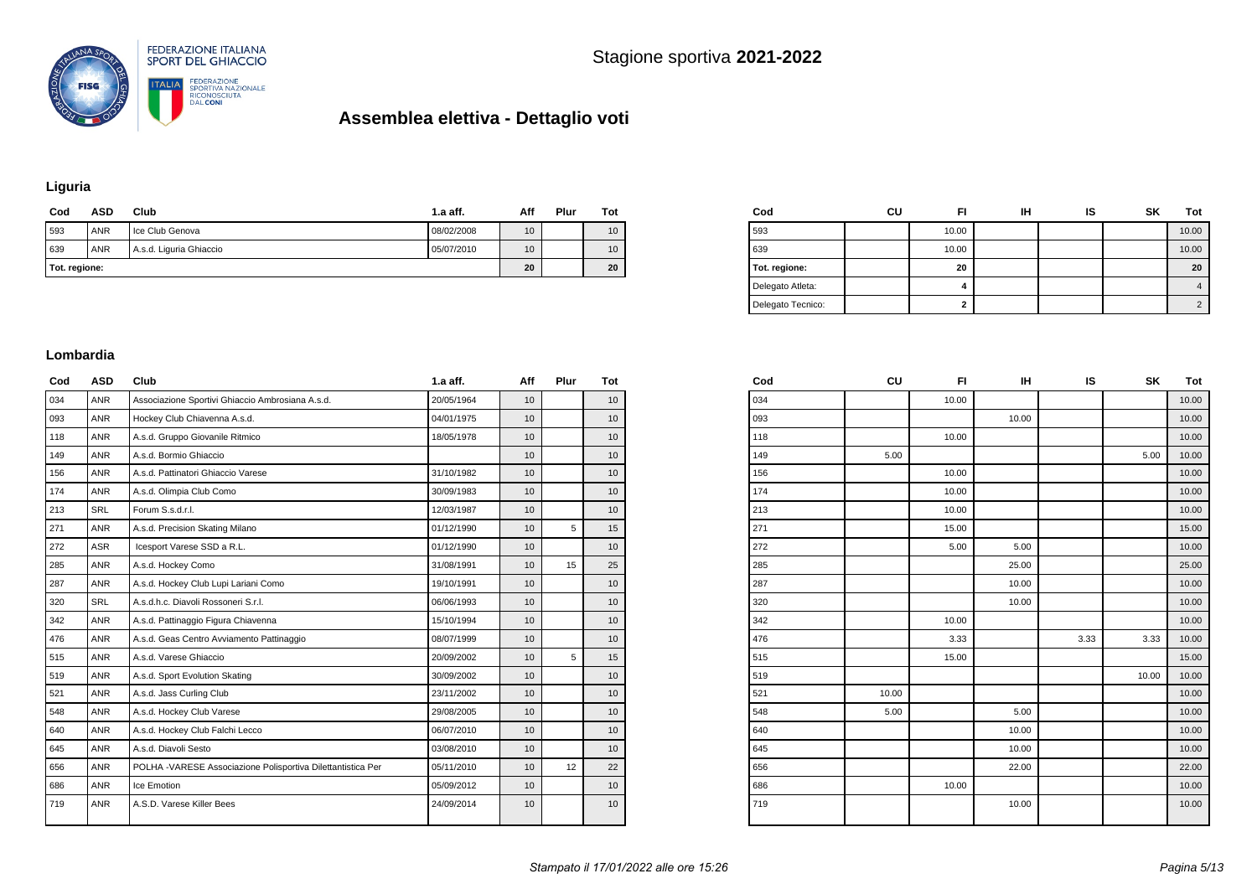



### **Liguria**

| Cod           | ASD        | Club                    | 1.a aff.   | Aff             | Plur | Tot |
|---------------|------------|-------------------------|------------|-----------------|------|-----|
| 593           | <b>ANR</b> | Ice Club Genova         | 08/02/2008 | 10              |      | 10  |
| 639           | <b>ANR</b> | A.s.d. Liguria Ghiaccio | 05/07/2010 | 10 <sup>1</sup> |      | 10  |
| Tot. regione: |            | 20                      |            | 20              |      |     |

| Cod               | CU | FI    | ін | IS | SK | Tot        |
|-------------------|----|-------|----|----|----|------------|
| 593               |    | 10.00 |    |    |    | 10.00      |
| 639               |    | 10.00 |    |    |    | 10.00      |
| Tot. regione:     |    | 20    |    |    |    | 20         |
| Delegato Atleta:  |    | 4     |    |    |    | 4          |
| Delegato Tecnico: |    | 2     |    |    |    | $\sqrt{2}$ |

#### **Lombardia**

| Cod | <b>ASD</b> | Club                                                        | $1.a$ aff. | Aff             | Plur | Tot             |
|-----|------------|-------------------------------------------------------------|------------|-----------------|------|-----------------|
| 034 | <b>ANR</b> | Associazione Sportivi Ghiaccio Ambrosiana A.s.d.            | 20/05/1964 | 10              |      | 10              |
| 093 | <b>ANR</b> | Hockey Club Chiavenna A.s.d.                                | 04/01/1975 | 10 <sup>1</sup> |      | 10 <sup>1</sup> |
| 118 | <b>ANR</b> | A.s.d. Gruppo Giovanile Ritmico                             | 18/05/1978 | 10              |      | 10              |
| 149 | <b>ANR</b> | A.s.d. Bormio Ghiaccio                                      |            | 10              |      | 10              |
| 156 | <b>ANR</b> | A.s.d. Pattinatori Ghiaccio Varese                          | 31/10/1982 | 10 <sup>1</sup> |      | 10 <sup>1</sup> |
| 174 | <b>ANR</b> | A.s.d. Olimpia Club Como                                    | 30/09/1983 | 10              |      | 10              |
| 213 | <b>SRL</b> | Forum S.s.d.r.l.                                            | 12/03/1987 | 10              |      | 10              |
| 271 | <b>ANR</b> | A.s.d. Precision Skating Milano                             | 01/12/1990 | 10              | 5    | 15              |
| 272 | <b>ASR</b> | Icesport Varese SSD a R.L.                                  | 01/12/1990 | 10              |      | 10 <sup>1</sup> |
| 285 | <b>ANR</b> | A.s.d. Hockey Como                                          | 31/08/1991 | 10              | 15   | 25              |
| 287 | <b>ANR</b> | A.s.d. Hockey Club Lupi Lariani Como                        | 19/10/1991 | 10              |      | 10              |
| 320 | SRL        | A.s.d.h.c. Diavoli Rossoneri S.r.l.                         | 06/06/1993 | 10              |      | 10              |
| 342 | <b>ANR</b> | A.s.d. Pattinaggio Figura Chiavenna                         | 15/10/1994 | 10              |      | 10              |
| 476 | <b>ANR</b> | A.s.d. Geas Centro Avviamento Pattinaggio                   | 08/07/1999 | 10 <sup>1</sup> |      | 10              |
| 515 | <b>ANR</b> | A.s.d. Varese Ghiaccio                                      | 20/09/2002 | 10              | 5    | 15              |
| 519 | <b>ANR</b> | A.s.d. Sport Evolution Skating                              | 30/09/2002 | 10              |      | 10              |
| 521 | <b>ANR</b> | A.s.d. Jass Curling Club                                    | 23/11/2002 | 10              |      | 10 <sup>1</sup> |
| 548 | <b>ANR</b> | A.s.d. Hockey Club Varese                                   | 29/08/2005 | 10 <sup>1</sup> |      | 10              |
| 640 | <b>ANR</b> | A.s.d. Hockey Club Falchi Lecco                             | 06/07/2010 | 10              |      | 10              |
| 645 | <b>ANR</b> | A.s.d. Diavoli Sesto                                        | 03/08/2010 | 10              |      | 10              |
| 656 | <b>ANR</b> | POLHA -VARESE Associazione Polisportiva Dilettantistica Per | 05/11/2010 | 10 <sup>1</sup> | 12   | 22              |
| 686 | <b>ANR</b> | Ice Emotion                                                 | 05/09/2012 | 10              |      | 10              |
| 719 | <b>ANR</b> | A.S.D. Varese Killer Bees                                   | 24/09/2014 | 10              |      | 10              |
|     |            |                                                             |            |                 |      |                 |

| Cod | CU    | FI.   | IН    | IS   | SΚ    | Tot   |
|-----|-------|-------|-------|------|-------|-------|
| 034 |       | 10.00 |       |      |       | 10.00 |
| 093 |       |       | 10.00 |      |       | 10.00 |
| 118 |       | 10.00 |       |      |       | 10.00 |
| 149 | 5.00  |       |       |      | 5.00  | 10.00 |
| 156 |       | 10.00 |       |      |       | 10.00 |
| 174 |       | 10.00 |       |      |       | 10.00 |
| 213 |       | 10.00 |       |      |       | 10.00 |
| 271 |       | 15.00 |       |      |       | 15.00 |
| 272 |       | 5.00  | 5.00  |      |       | 10.00 |
| 285 |       |       | 25.00 |      |       | 25.00 |
| 287 |       |       | 10.00 |      |       | 10.00 |
| 320 |       |       | 10.00 |      |       | 10.00 |
| 342 |       | 10.00 |       |      |       | 10.00 |
| 476 |       | 3.33  |       | 3.33 | 3.33  | 10.00 |
| 515 |       | 15.00 |       |      |       | 15.00 |
| 519 |       |       |       |      | 10.00 | 10.00 |
| 521 | 10.00 |       |       |      |       | 10.00 |
| 548 | 5.00  |       | 5.00  |      |       | 10.00 |
| 640 |       |       | 10.00 |      |       | 10.00 |
| 645 |       |       | 10.00 |      |       | 10.00 |
| 656 |       |       | 22.00 |      |       | 22.00 |
| 686 |       | 10.00 |       |      |       | 10.00 |
| 719 |       |       | 10.00 |      |       | 10.00 |
|     |       |       |       |      |       |       |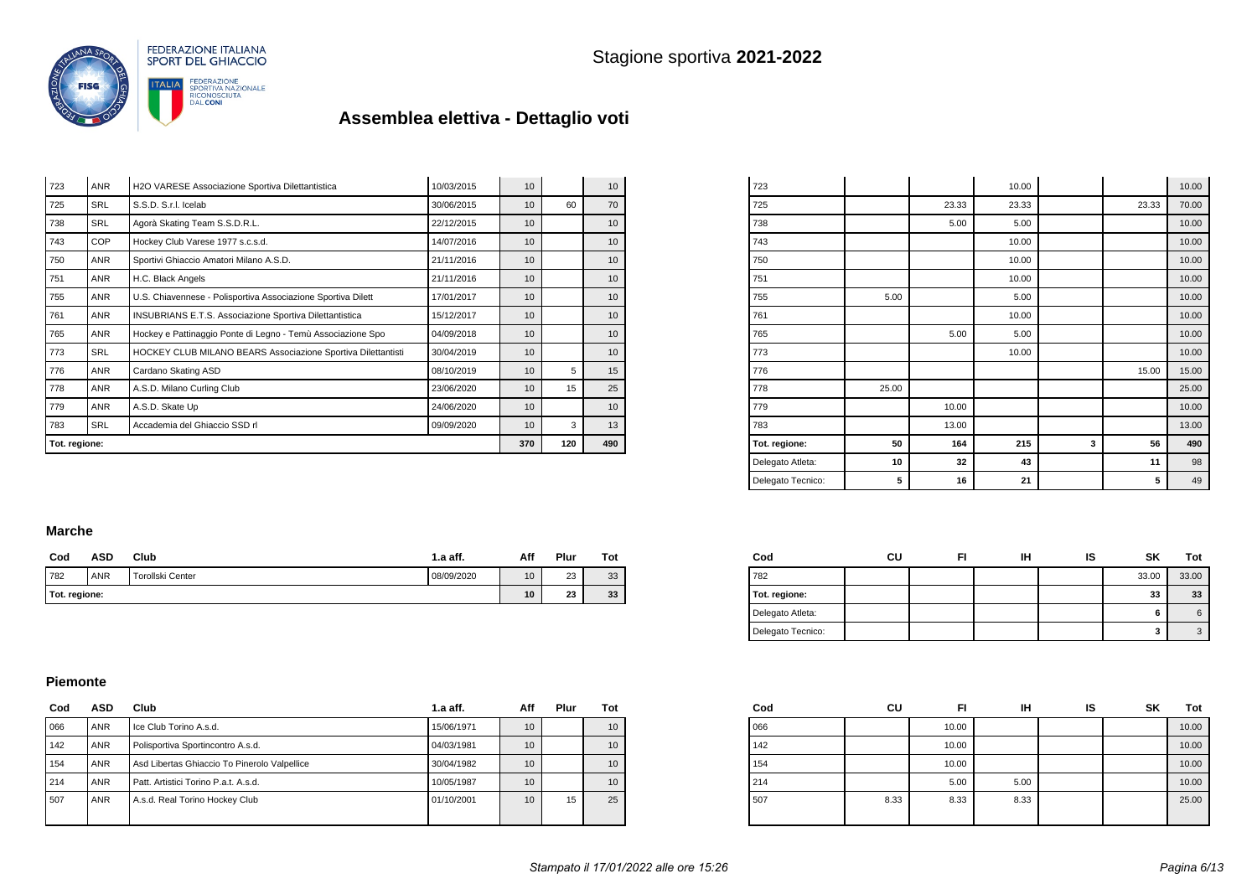

| Tot. regione: |            |                                                                |            |                 | 120 | 490              |
|---------------|------------|----------------------------------------------------------------|------------|-----------------|-----|------------------|
| 783           | <b>SRL</b> | Accademia del Ghiaccio SSD rl                                  | 09/09/2020 |                 |     |                  |
| 779           | <b>ANR</b> | A.S.D. Skate Up                                                | 24/06/2020 | 10              |     | 10               |
| 778           | ANR        | A.S.D. Milano Curling Club                                     | 23/06/2020 | 10              | 15  | 25               |
| 776           | <b>ANR</b> | Cardano Skating ASD                                            | 08/10/2019 | 10              | 5   | 15               |
| 773           | <b>SRL</b> | HOCKEY CLUB MILANO BEARS Associazione Sportiva Dilettantisti   | 30/04/2019 | 10 <sup>°</sup> |     | 10               |
| 765           | <b>ANR</b> | Hockey e Pattinaggio Ponte di Legno - Temù Associazione Spo    | 04/09/2018 | 10 <sup>1</sup> |     | 10               |
| 761           | <b>ANR</b> | <b>INSUBRIANS E.T.S. Associazione Sportiva Dilettantistica</b> | 15/12/2017 | 10              |     | 10               |
| 755           | <b>ANR</b> | U.S. Chiavennese - Polisportiva Associazione Sportiva Dilett   | 17/01/2017 | 10              |     | 10 <sup>°</sup>  |
| 751           | <b>ANR</b> | H.C. Black Angels                                              | 21/11/2016 | 10              |     | 10 <sup>10</sup> |
| 750           | <b>ANR</b> | Sportivi Ghiaccio Amatori Milano A.S.D.                        | 21/11/2016 | 10              |     | 10 <sup>10</sup> |
| 743           | <b>COP</b> | Hockey Club Varese 1977 s.c.s.d.                               | 14/07/2016 |                 |     |                  |
| 738           | <b>SRL</b> | Agorà Skating Team S.S.D.R.L.                                  | 22/12/2015 | 10 <sup>1</sup> |     | 10               |
| 725           | <b>SRL</b> | S.S.D. S.r.I. Icelab                                           | 30/06/2015 | 10 <sup>1</sup> | 60  | 70               |
| 723           | <b>ANR</b> | H2O VARESE Associazione Sportiva Dilettantistica               | 10/03/2015 | 10 <sup>1</sup> |     | 10               |

| Delegato Tecnico: | 5     | 16    | 21    |   | 5     | 49    |
|-------------------|-------|-------|-------|---|-------|-------|
| Delegato Atleta:  | 10    | 32    | 43    |   | 11    | 98    |
| Tot. regione:     | 50    | 164   | 215   | 3 | 56    | 490   |
| 783               |       | 13.00 |       |   |       | 13.00 |
| 779               |       | 10.00 |       |   |       | 10.00 |
| 778               | 25.00 |       |       |   |       | 25.00 |
| 776               |       |       |       |   | 15.00 | 15.00 |
| 773               |       |       | 10.00 |   |       | 10.00 |
| 765               |       | 5.00  | 5.00  |   |       | 10.00 |
| 761               |       |       | 10.00 |   |       | 10.00 |
| 755               | 5.00  |       | 5.00  |   |       | 10.00 |
| 751               |       |       | 10.00 |   |       | 10.00 |
| 750               |       |       | 10.00 |   |       | 10.00 |
| 743               |       |       | 10.00 |   |       | 10.00 |
| 738               |       | 5.00  | 5.00  |   |       | 10.00 |
| 725               |       | 23.33 | 23.33 |   | 23.33 | 70.00 |
| 723               |       |       | 10.00 |   |       | 10.00 |

#### **Marche**

|     | Cod           | ASD | Club             | $1.a$ aff. | Aff             | Plur | Tot |
|-----|---------------|-----|------------------|------------|-----------------|------|-----|
| 782 |               | ANR | Torollski Center | 08/09/2020 | 10              | 23   | 33  |
|     | Tot. regione: |     |                  |            | 10 <sup>1</sup> | 23   | 33  |

| Cod               | cu | FI | IΗ | IS | SK    | Tot   |
|-------------------|----|----|----|----|-------|-------|
| 782               |    |    |    |    | 33.00 | 33.00 |
| Tot. regione:     |    |    |    |    | 33    | 33    |
| Delegato Atleta:  |    |    |    |    | 6     |       |
| Delegato Tecnico: |    |    |    |    | 3     |       |

#### **Piemonte**

| Cod | ASD        | Club                                         | $1.a$ aff. | Aff | Plur | Tot |
|-----|------------|----------------------------------------------|------------|-----|------|-----|
| 066 | ANR        | Ice Club Torino A.s.d.                       | 15/06/1971 | 10  |      | 10  |
| 142 | ANR        | Polisportiva Sportincontro A.s.d.            | 04/03/1981 | 10  |      | 10  |
| 154 | <b>ANR</b> | Asd Libertas Ghiaccio To Pinerolo Valpellice | 30/04/1982 | 10  |      | 10  |
| 214 | ANR        | Patt. Artistici Torino P.a.t. A.s.d.         | 10/05/1987 | 10  |      | 10  |
| 507 | ANR        | A.s.d. Real Torino Hockey Club               | 01/10/2001 | 10  | 15   | 25  |

| Cod | CU   | FI    | IН   | IS | SΚ | Tot   |
|-----|------|-------|------|----|----|-------|
| 066 |      | 10.00 |      |    |    | 10.00 |
| 142 |      | 10.00 |      |    |    | 10.00 |
| 154 |      | 10.00 |      |    |    | 10.00 |
| 214 |      | 5.00  | 5.00 |    |    | 10.00 |
| 507 | 8.33 | 8.33  | 8.33 |    |    | 25.00 |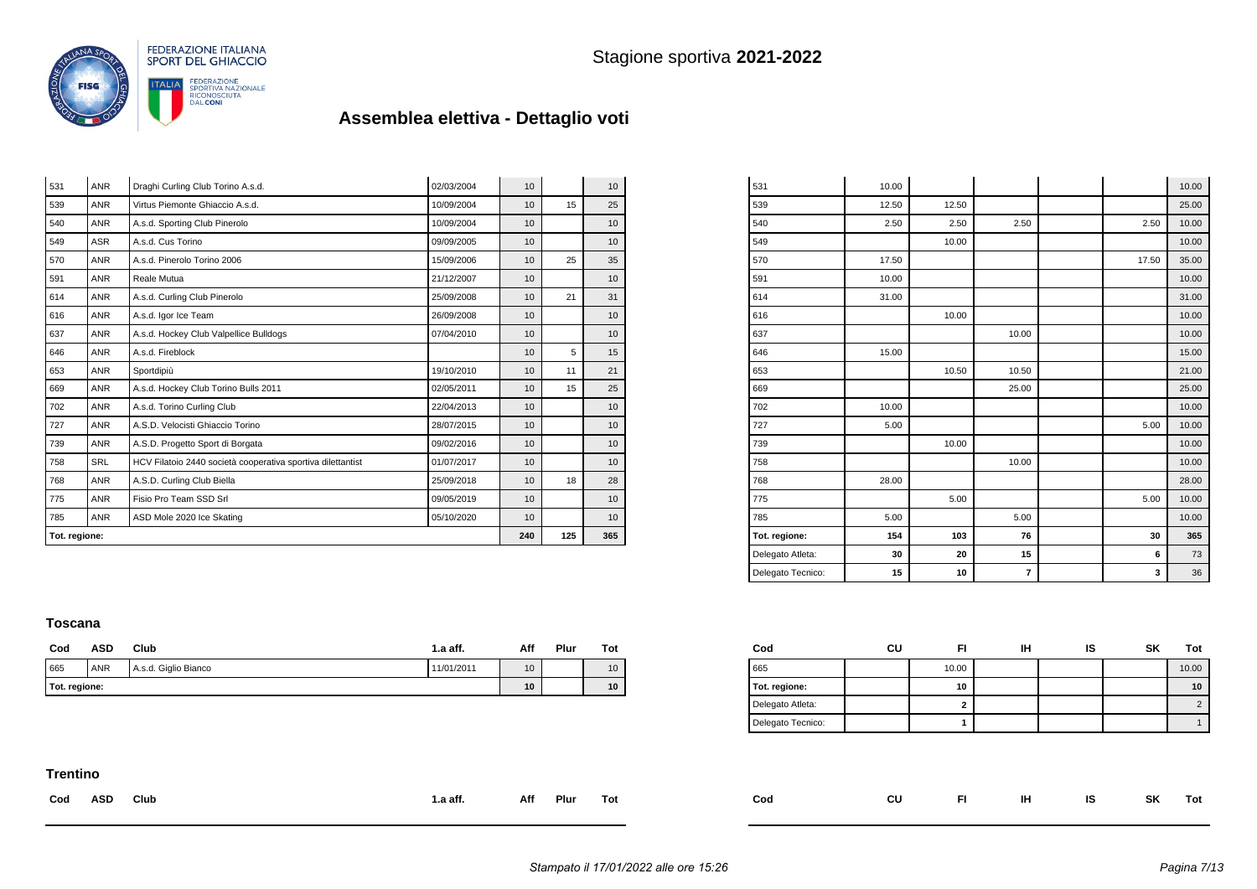

| 531           | <b>ANR</b> | Draghi Curling Club Torino A.s.d.                           | 02/03/2004 | 10  |    | 10 |
|---------------|------------|-------------------------------------------------------------|------------|-----|----|----|
| 539           | <b>ANR</b> | Virtus Piemonte Ghiaccio A.s.d.                             | 10/09/2004 | 10  | 15 | 25 |
| 540           | <b>ANR</b> | A.s.d. Sporting Club Pinerolo                               | 10/09/2004 | 10  |    | 10 |
| 549           | <b>ASR</b> | A.s.d. Cus Torino                                           | 09/09/2005 | 10  |    | 10 |
| 570           | <b>ANR</b> | A.s.d. Pinerolo Torino 2006                                 | 15/09/2006 | 10  | 25 | 35 |
| 591           | <b>ANR</b> | Reale Mutua                                                 | 21/12/2007 | 10  |    | 10 |
| 614           | <b>ANR</b> | A.s.d. Curling Club Pinerolo                                | 25/09/2008 | 10  | 21 | 31 |
| 616           | <b>ANR</b> | A.s.d. Igor Ice Team                                        | 26/09/2008 | 10  |    | 10 |
| 637           | <b>ANR</b> | A.s.d. Hockey Club Valpellice Bulldogs                      | 07/04/2010 | 10  |    | 10 |
| 646           | <b>ANR</b> | A.s.d. Fireblock                                            |            | 10  | 5  | 15 |
| 653           | <b>ANR</b> | Sportdipiù                                                  | 19/10/2010 | 10  | 11 | 21 |
| 669           | <b>ANR</b> | A.s.d. Hockey Club Torino Bulls 2011                        | 02/05/2011 | 10  | 15 | 25 |
| 702           | <b>ANR</b> | A.s.d. Torino Curling Club                                  | 22/04/2013 | 10  |    | 10 |
| 727           | <b>ANR</b> | A.S.D. Velocisti Ghiaccio Torino                            | 28/07/2015 | 10  |    | 10 |
| 739           | <b>ANR</b> | A.S.D. Progetto Sport di Borgata                            | 09/02/2016 | 10  |    | 10 |
| 758           | <b>SRL</b> | HCV Filatoio 2440 società cooperativa sportiva dilettantist | 01/07/2017 | 10  |    | 10 |
| 768           | <b>ANR</b> | A.S.D. Curling Club Biella                                  | 25/09/2018 | 10  | 18 | 28 |
| 775           | <b>ANR</b> | Fisio Pro Team SSD Srl                                      | 09/05/2019 | 10  |    | 10 |
| 785           | <b>ANR</b> | ASD Mole 2020 Ice Skating                                   | 05/10/2020 | 10  |    | 10 |
| Tot. regione: |            | 240                                                         | 125        | 365 |    |    |

| 785<br>Tot. regione: | 5.00<br>154    | 103   | 5.00<br>76 | 30    | 10.00<br>365   |
|----------------------|----------------|-------|------------|-------|----------------|
| 775                  |                | 5.00  |            | 5.00  | 10.00          |
| 768                  | 28.00          |       |            |       | 28.00          |
| 758                  |                |       | 10.00      |       | 10.00          |
| 739                  |                | 10.00 |            |       | 10.00          |
| 727                  | 5.00           |       |            | 5.00  | 10.00          |
| 702                  | 10.00          |       |            |       | 10.00          |
| 669                  |                |       | 25.00      |       | 25.00          |
| 653                  |                | 10.50 | 10.50      |       | 21.00          |
| 646                  | 15.00          |       |            |       | 15.00          |
| 637                  |                |       | 10.00      |       | 10.00          |
| 616                  |                | 10.00 |            |       | 10.00          |
| 614                  | 31.00          |       |            |       | 31.00          |
| 591                  | 10.00          |       |            |       | 10.00          |
| 570                  | 17.50          |       |            | 17.50 | 35.00          |
| 549                  |                | 10.00 |            |       | 10.00          |
| 540                  | 2.50           | 2.50  | 2.50       | 2.50  | 10.00          |
| 539                  | 10.00<br>12.50 | 12.50 |            |       | 10.00<br>25.00 |

#### **Toscana**

| Cod | ASD           | Club                 | 1.a aff.   | Aff | Plur | Tot |
|-----|---------------|----------------------|------------|-----|------|-----|
| 665 | <b>ANR</b>    | A.s.d. Giglio Bianco | 11/01/2011 | 10  |      | 10  |
|     | Tot. regione: |                      |            |     |      | 10  |

| Cod               | cu | FI     | іН | IS | <b>SK</b> | Tot   |
|-------------------|----|--------|----|----|-----------|-------|
| 665               |    | 10.00  |    |    |           | 10.00 |
| Tot. regione:     |    | 10     |    |    |           | 10    |
| Delegato Atleta:  |    | ◠<br>۷ |    |    |           |       |
| Delegato Tecnico: |    |        |    |    |           |       |

### **Trentino**

| Cod ASD | <b>Club</b> | 1.a aff. | Aff Plur Tot | $\mathsf{Cod}$ | CU FI IH IS SK Tot |  |  |  |
|---------|-------------|----------|--------------|----------------|--------------------|--|--|--|
|         |             |          |              |                |                    |  |  |  |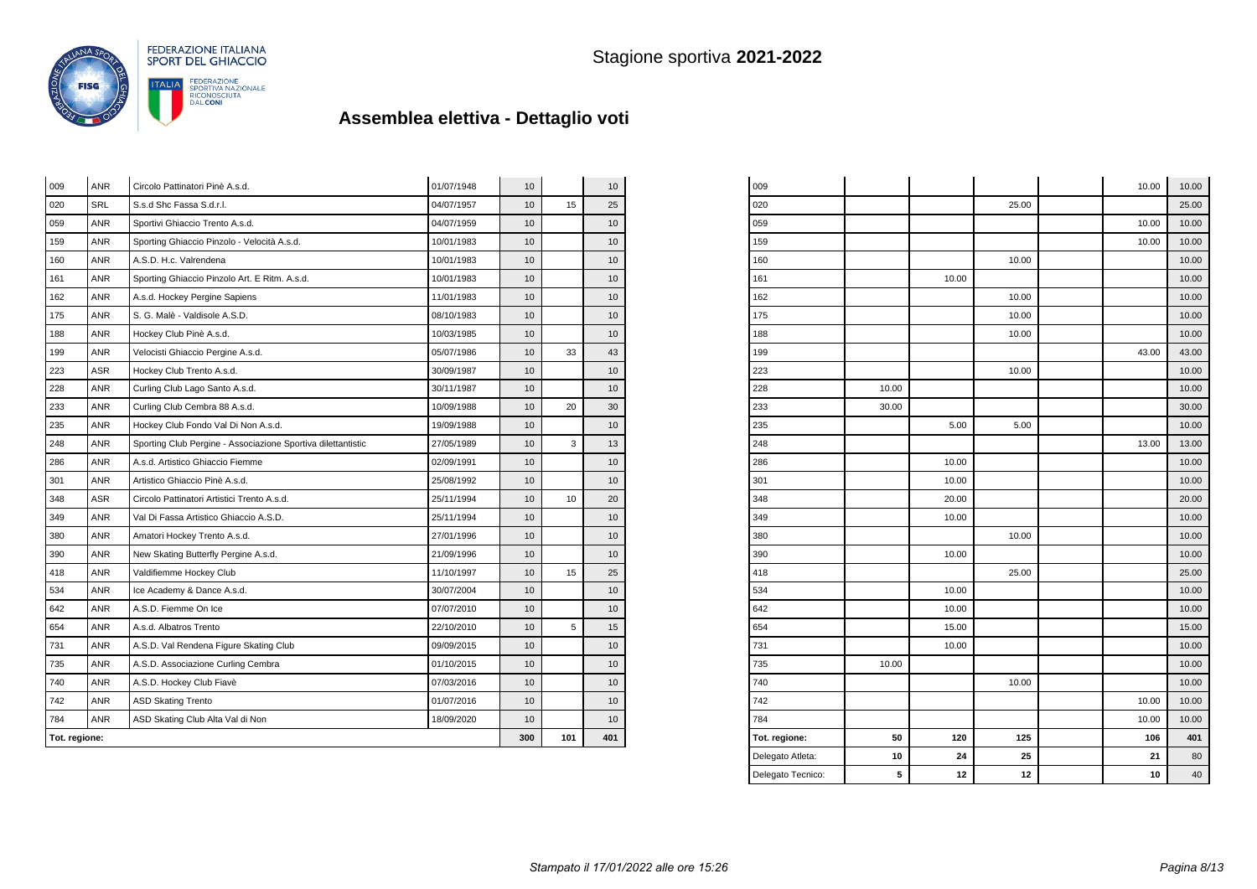

| Tot. regione: |            |                                                              |            | 300              | 101 | 401 |
|---------------|------------|--------------------------------------------------------------|------------|------------------|-----|-----|
| 784           | <b>ANR</b> | ASD Skating Club Alta Val di Non                             | 18/09/2020 | 10               |     | 10  |
| 742           | <b>ANR</b> | <b>ASD Skating Trento</b>                                    | 01/07/2016 | 10               |     | 10  |
| 740           | <b>ANR</b> | A.S.D. Hockey Club Fiavè                                     | 07/03/2016 | 10               |     | 10  |
| 735           | <b>ANR</b> | A.S.D. Associazione Curling Cembra                           | 01/10/2015 | 10               |     | 10  |
| 731           | <b>ANR</b> | A.S.D. Val Rendena Figure Skating Club                       | 09/09/2015 | 10               |     | 10  |
| 654           | <b>ANR</b> | A.s.d. Albatros Trento                                       | 22/10/2010 | 10               | 5   | 15  |
| 642           | <b>ANR</b> | A.S.D. Fiemme On Ice                                         | 07/07/2010 | 10               |     | 10  |
| 534           | <b>ANR</b> | Ice Academy & Dance A.s.d.                                   | 30/07/2004 | 10               |     | 10  |
| 418           | <b>ANR</b> | Valdifiemme Hockey Club                                      | 11/10/1997 | 10               | 15  | 25  |
| 390           | <b>ANR</b> | New Skating Butterfly Pergine A.s.d.                         | 21/09/1996 | 10               |     | 10  |
| 380           | <b>ANR</b> | Amatori Hockey Trento A.s.d.                                 | 27/01/1996 | 10               |     | 10  |
| 349           | <b>ANR</b> | Val Di Fassa Artistico Ghiaccio A.S.D.                       | 25/11/1994 | 10               |     | 10  |
| 348           | ASR        | Circolo Pattinatori Artistici Trento A.s.d.                  | 25/11/1994 | 10               | 10  | 20  |
| 301           | <b>ANR</b> | Artistico Ghiaccio Pinè A.s.d.                               | 25/08/1992 | 10 <sup>10</sup> |     | 10  |
| 286           | <b>ANR</b> | A.s.d. Artistico Ghiaccio Fiemme                             | 02/09/1991 | 10               |     | 10  |
| 248           | <b>ANR</b> | Sporting Club Pergine - Associazione Sportiva dilettantistic | 27/05/1989 | 10               | 3   | 13  |
| 235           | ANR        | Hockey Club Fondo Val Di Non A.s.d.                          | 19/09/1988 | 10               |     | 10  |
| 233           | <b>ANR</b> | Curling Club Cembra 88 A.s.d.                                | 10/09/1988 | 10               | 20  | 30  |
| 228           | ANR        | Curling Club Lago Santo A.s.d.                               | 30/11/1987 | 10               |     | 10  |
| 223           | ASR        | Hockey Club Trento A.s.d.                                    | 30/09/1987 | 10               |     | 10  |
| 199           | <b>ANR</b> | Velocisti Ghiaccio Pergine A.s.d.                            | 05/07/1986 | 10               | 33  | 43  |
| 188           | <b>ANR</b> | Hockey Club Pinè A.s.d.                                      | 10/03/1985 | 10               |     | 10  |
| 175           | <b>ANR</b> | S. G. Malè - Valdisole A.S.D.                                | 08/10/1983 | 10               |     | 10  |
| 162           | <b>ANR</b> | A.s.d. Hockey Pergine Sapiens                                | 11/01/1983 | 10               |     | 10  |
| 161           | <b>ANR</b> | Sporting Ghiaccio Pinzolo Art. E Ritm. A.s.d.                | 10/01/1983 | 10               |     | 10  |
| 160           | <b>ANR</b> | A.S.D. H.c. Valrendena                                       | 10/01/1983 | 10               |     | 10  |
| 159           | <b>ANR</b> | Sporting Ghiaccio Pinzolo - Velocità A.s.d.                  | 10/01/1983 | 10               |     | 10  |
| 059           | ANR        | Sportivi Ghiaccio Trento A.s.d.                              | 04/07/1959 | 10               |     | 10  |
| 020           | <b>SRL</b> | S.s.d Shc Fassa S.d.r.l.                                     | 04/07/1957 | 10               | 15  | 25  |
| 009           | <b>ANR</b> | Circolo Pattinatori Pinè A.s.d.                              | 01/07/1948 | 10               |     | 10  |

| 009               |       |       |       | 10.00 | 10.00 |
|-------------------|-------|-------|-------|-------|-------|
| 020               |       |       | 25.00 |       | 25.00 |
| 059               |       |       |       | 10.00 | 10.00 |
| 159               |       |       |       | 10.00 | 10.00 |
| 160               |       |       | 10.00 |       | 10.00 |
| 161               |       | 10.00 |       |       | 10.00 |
| 162               |       |       | 10.00 |       | 10.00 |
| 175               |       |       | 10.00 |       | 10.00 |
| 188               |       |       | 10.00 |       | 10.00 |
| 199               |       |       |       | 43.00 | 43.00 |
| 223               |       |       | 10.00 |       | 10.00 |
| 228               | 10.00 |       |       |       | 10.00 |
| 233               | 30.00 |       |       |       | 30.00 |
| 235               |       | 5.00  | 5.00  |       | 10.00 |
| 248               |       |       |       | 13.00 | 13.00 |
| 286               |       | 10.00 |       |       | 10.00 |
| 301               |       | 10.00 |       |       | 10.00 |
| 348               |       | 20.00 |       |       | 20.00 |
| 349               |       | 10.00 |       |       | 10.00 |
| 380               |       |       | 10.00 |       | 10.00 |
| 390               |       | 10.00 |       |       | 10.00 |
| 418               |       |       | 25.00 |       | 25.00 |
| 534               |       | 10.00 |       |       | 10.00 |
| 642               |       | 10.00 |       |       | 10.00 |
| 654               |       | 15.00 |       |       | 15.00 |
| 731               |       | 10.00 |       |       | 10.00 |
| 735               | 10.00 |       |       |       | 10.00 |
| 740               |       |       | 10.00 |       | 10.00 |
| 742               |       |       |       | 10.00 | 10.00 |
| 784               |       |       |       | 10.00 | 10.00 |
| Tot. regione:     | 50    | 120   | 125   | 106   | 401   |
| Delegato Atleta:  | 10    | 24    | 25    | 21    | 80    |
| Delegato Tecnico: | 5     | 12    | 12    | 10    | 40    |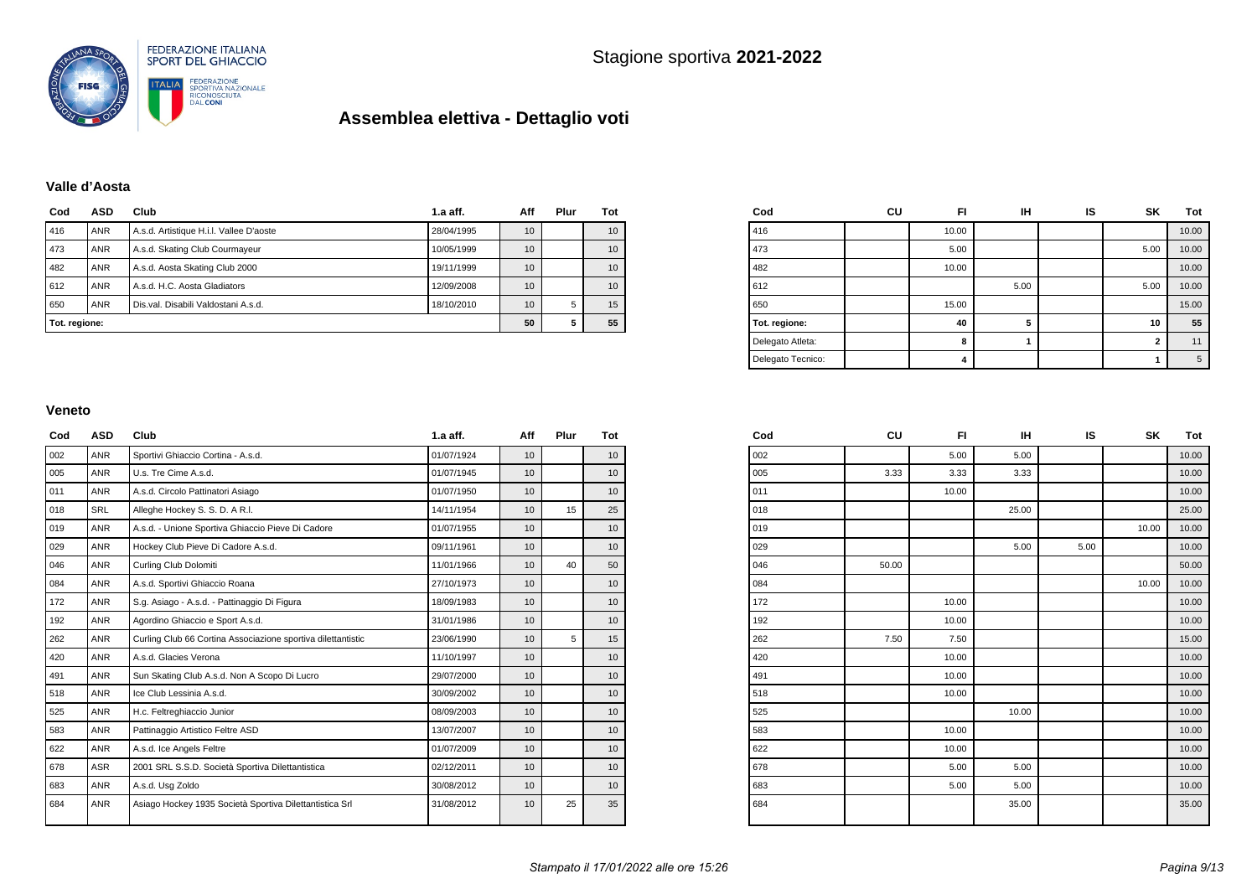

### **Valle d'Aosta**

| Cod           | <b>ASD</b> | Club                                    | $1.a$ aff. | Aff | Plur | Tot |
|---------------|------------|-----------------------------------------|------------|-----|------|-----|
| 416           | ANR        | A.s.d. Artistique H.i.l. Vallee D'aoste | 28/04/1995 | 10  |      | 10  |
| 473           | <b>ANR</b> | A.s.d. Skating Club Courmayeur          | 10/05/1999 | 10  |      | 10  |
| 482           | <b>ANR</b> | A.s.d. Aosta Skating Club 2000          | 19/11/1999 | 10  |      | 10  |
| 612           | <b>ANR</b> | A.s.d. H.C. Aosta Gladiators            | 12/09/2008 | 10  |      | 10  |
| 650           | <b>ANR</b> | Dis.val. Disabili Valdostani A.s.d.     | 18/10/2010 | 10  | 5    | 15  |
| Tot. regione: |            | 50                                      | 5          | 55  |      |     |

| Cod               | CU | FI    | ıн   | IS | SK             | Tot   |
|-------------------|----|-------|------|----|----------------|-------|
| 416               |    | 10.00 |      |    |                | 10.00 |
| 473               |    | 5.00  |      |    | 5.00           | 10.00 |
| 482               |    | 10.00 |      |    |                | 10.00 |
| 612               |    |       | 5.00 |    | 5.00           | 10.00 |
| 650               |    | 15.00 |      |    |                | 15.00 |
| Tot. regione:     |    | 40    | 5    |    | 10             | 55    |
| Delegato Atleta:  |    | 8     |      |    | $\overline{2}$ | 11    |
| Delegato Tecnico: |    | 4     |      |    | 1              | 5     |

#### **Veneto**

| Cod | <b>ASD</b> | Club                                                         | $1.a$ aff. | Aff             | Plur | Tot |
|-----|------------|--------------------------------------------------------------|------------|-----------------|------|-----|
| 002 | <b>ANR</b> | Sportivi Ghiaccio Cortina - A.s.d.                           | 01/07/1924 | 10              |      | 10  |
| 005 | <b>ANR</b> | U.s. Tre Cime A.s.d.                                         | 01/07/1945 | 10              |      | 10  |
| 011 | <b>ANR</b> | A.s.d. Circolo Pattinatori Asiago                            | 01/07/1950 | 10              |      | 10  |
| 018 | SRL        | Alleghe Hockey S. S. D. A R.I.                               | 14/11/1954 | 10              | 15   | 25  |
| 019 | <b>ANR</b> | A.s.d. - Unione Sportiva Ghiaccio Pieve Di Cadore            | 01/07/1955 | 10              |      | 10  |
| 029 | <b>ANR</b> | Hockey Club Pieve Di Cadore A.s.d.                           | 09/11/1961 | 10 <sup>1</sup> |      | 10  |
| 046 | <b>ANR</b> | Curling Club Dolomiti                                        | 11/01/1966 | 10              | 40   | 50  |
| 084 | <b>ANR</b> | A.s.d. Sportivi Ghiaccio Roana                               | 27/10/1973 | 10              |      | 10  |
| 172 | <b>ANR</b> | S.g. Asiago - A.s.d. - Pattinaggio Di Figura                 | 18/09/1983 | 10              |      | 10  |
| 192 | <b>ANR</b> | Agordino Ghiaccio e Sport A.s.d.                             | 31/01/1986 | 10              |      | 10  |
| 262 | <b>ANR</b> | Curling Club 66 Cortina Associazione sportiva dilettantistic | 23/06/1990 | 10              | 5    | 15  |
| 420 | <b>ANR</b> | A.s.d. Glacies Verona                                        | 11/10/1997 | 10              |      | 10  |
| 491 | <b>ANR</b> | Sun Skating Club A.s.d. Non A Scopo Di Lucro                 | 29/07/2000 | 10              |      | 10  |
| 518 | <b>ANR</b> | Ice Club Lessinia A.s.d.                                     | 30/09/2002 | 10              |      | 10  |
| 525 | <b>ANR</b> | H.c. Feltreghiaccio Junior                                   | 08/09/2003 | 10              |      | 10  |
| 583 | <b>ANR</b> | Pattinaggio Artistico Feltre ASD                             | 13/07/2007 | 10 <sup>1</sup> |      | 10  |
| 622 | <b>ANR</b> | A.s.d. Ice Angels Feltre                                     | 01/07/2009 | 10              |      | 10  |
| 678 | <b>ASR</b> | 2001 SRL S.S.D. Società Sportiva Dilettantistica             | 02/12/2011 | 10 <sup>1</sup> |      | 10  |
| 683 | <b>ANR</b> | A.s.d. Usq Zoldo                                             | 30/08/2012 | 10 <sup>1</sup> |      | 10  |
| 684 | <b>ANR</b> | Asiago Hockey 1935 Società Sportiva Dilettantistica Srl      | 31/08/2012 | 10              | 25   | 35  |

| Cod | CU    | FI.   | IH    | IS   | SK    | Tot   |
|-----|-------|-------|-------|------|-------|-------|
| 002 |       | 5.00  | 5.00  |      |       | 10.00 |
| 005 | 3.33  | 3.33  | 3.33  |      |       | 10.00 |
| 011 |       | 10.00 |       |      |       | 10.00 |
| 018 |       |       | 25.00 |      |       | 25.00 |
| 019 |       |       |       |      | 10.00 | 10.00 |
| 029 |       |       | 5.00  | 5.00 |       | 10.00 |
| 046 | 50.00 |       |       |      |       | 50.00 |
| 084 |       |       |       |      | 10.00 | 10.00 |
| 172 |       | 10.00 |       |      |       | 10.00 |
| 192 |       | 10.00 |       |      |       | 10.00 |
| 262 | 7.50  | 7.50  |       |      |       | 15.00 |
| 420 |       | 10.00 |       |      |       | 10.00 |
| 491 |       | 10.00 |       |      |       | 10.00 |
| 518 |       | 10.00 |       |      |       | 10.00 |
| 525 |       |       | 10.00 |      |       | 10.00 |
| 583 |       | 10.00 |       |      |       | 10.00 |
| 622 |       | 10.00 |       |      |       | 10.00 |
| 678 |       | 5.00  | 5.00  |      |       | 10.00 |
| 683 |       | 5.00  | 5.00  |      |       | 10.00 |
| 684 |       |       | 35.00 |      |       | 35.00 |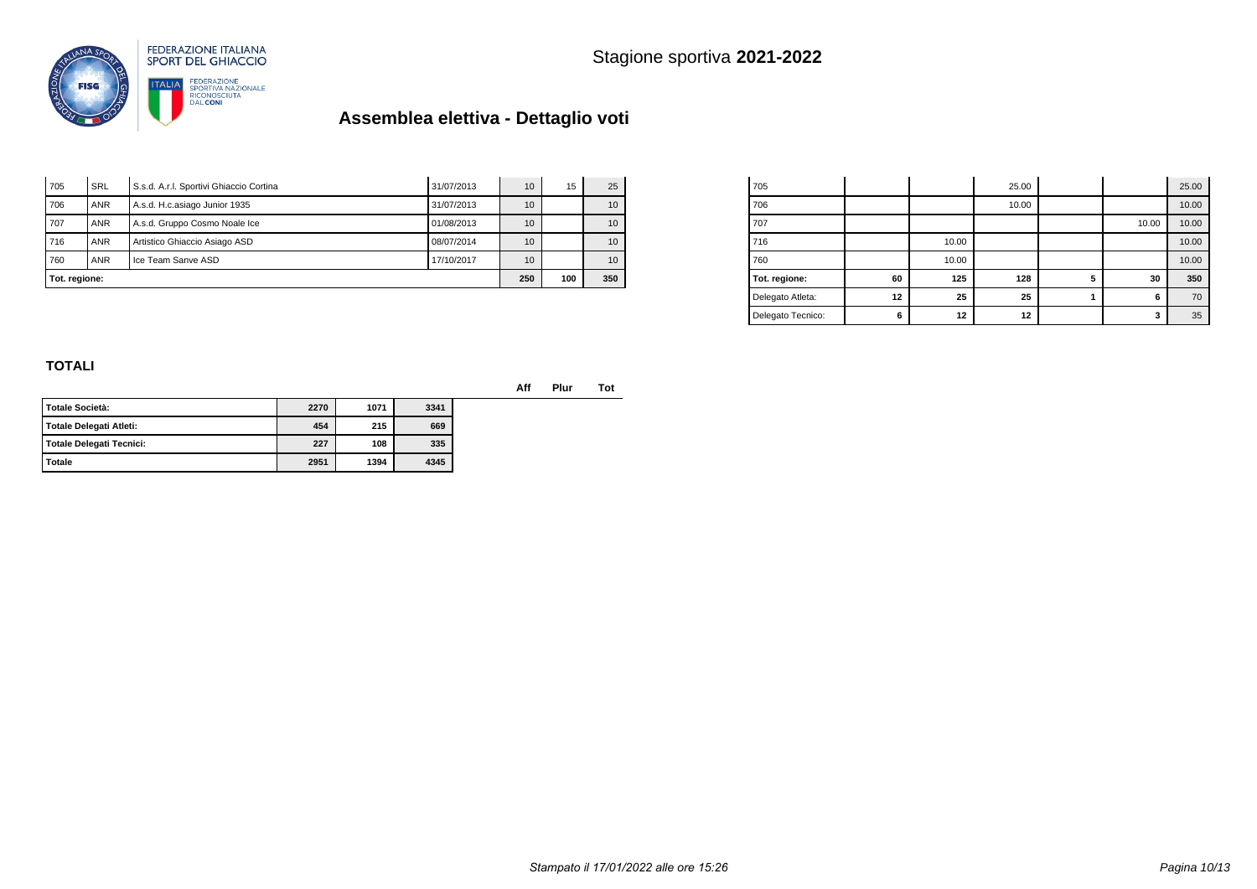Stagione sportiva **2021-2022**



# **Assemblea elettiva - Dettaglio voti**

| Tot. regione: |            |                                         |            | 250 | 100 | 350             |
|---------------|------------|-----------------------------------------|------------|-----|-----|-----------------|
| 760           | <b>ANR</b> | Ice Team Sanve ASD                      | 17/10/2017 | 10  |     | 10 <sup>1</sup> |
| 716           | <b>ANR</b> | Artistico Ghiaccio Asiago ASD           | 08/07/2014 | 10  |     | 10 <sup>1</sup> |
| 707           | <b>ANR</b> | A.s.d. Gruppo Cosmo Noale Ice           | 01/08/2013 | 10  |     | 10 <sup>1</sup> |
| 706           | <b>ANR</b> | A.s.d. H.c.asiago Junior 1935           | 31/07/2013 | 10  |     | 10 <sup>1</sup> |
| 705           | SRL        | S.s.d. A.r.I. Sportivi Ghiaccio Cortina | 31/07/2013 | 10  | 15  | 25              |

| 705               |    |       | 25.00 |   |       | 25.00 |
|-------------------|----|-------|-------|---|-------|-------|
| 706               |    |       | 10.00 |   |       | 10.00 |
| 707               |    |       |       |   | 10.00 | 10.00 |
| 716               |    | 10.00 |       |   |       | 10.00 |
| 760               |    | 10.00 |       |   |       | 10.00 |
| Tot. regione:     | 60 | 125   | 128   | 5 | 30    | 350   |
| Delegato Atleta:  | 12 | 25    | 25    |   | 6     | 70    |
| Delegato Tecnico: | 6  | 12    | 12    |   | 3     | 35    |

### **TOTALI**

**Aff Plur Tot**

| l Totale Società:        | 2270 | 1071 | 3341 |
|--------------------------|------|------|------|
| Totale Delegati Atleti:  | 454  | 215  | 669  |
| Totale Delegati Tecnici: | 227  | 108  | 335  |
| Totale                   | 2951 | 1394 | 4345 |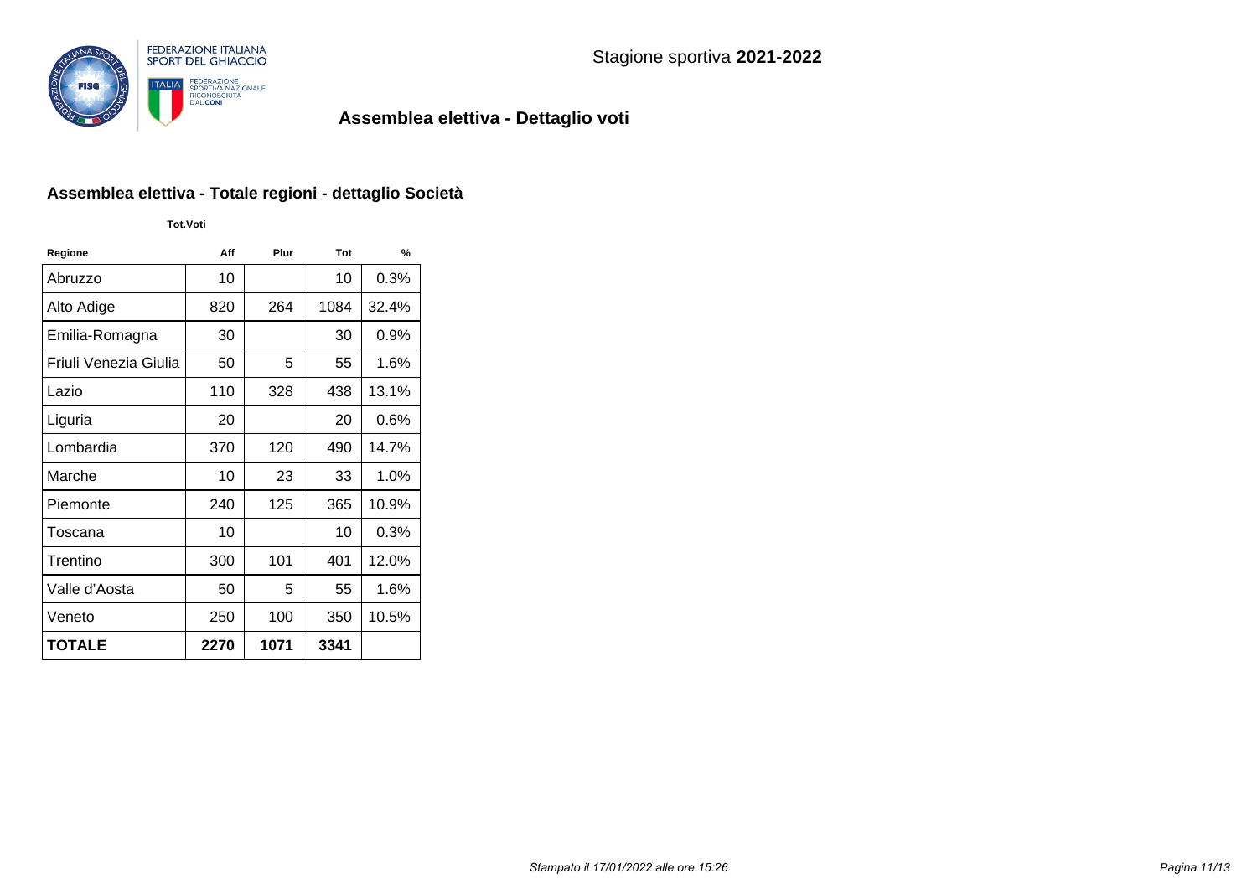

### **Assemblea elettiva - Totale regioni - dettaglio Società**

**Tot.Voti**

| Regione               | Aff  | Plur | Tot  | %       |
|-----------------------|------|------|------|---------|
| Abruzzo               | 10   |      | 10   | 0.3%    |
| Alto Adige            | 820  | 264  | 1084 | 32.4%   |
| Emilia-Romagna        | 30   |      | 30   | $0.9\%$ |
| Friuli Venezia Giulia | 50   | 5    | 55   | 1.6%    |
| Lazio                 | 110  | 328  | 438  | 13.1%   |
| Liguria               | 20   |      | 20   | $0.6\%$ |
| Lombardia             | 370  | 120  | 490  | 14.7%   |
| Marche                | 10   | 23   | 33   | 1.0%    |
| Piemonte              | 240  | 125  | 365  | 10.9%   |
| Toscana               | 10   |      | 10   | $0.3\%$ |
| Trentino              | 300  | 101  | 401  | 12.0%   |
| Valle d'Aosta         | 50   | 5    | 55   | 1.6%    |
| Veneto                | 250  | 100  | 350  | 10.5%   |
| <b>TOTALE</b>         | 2270 | 1071 | 3341 |         |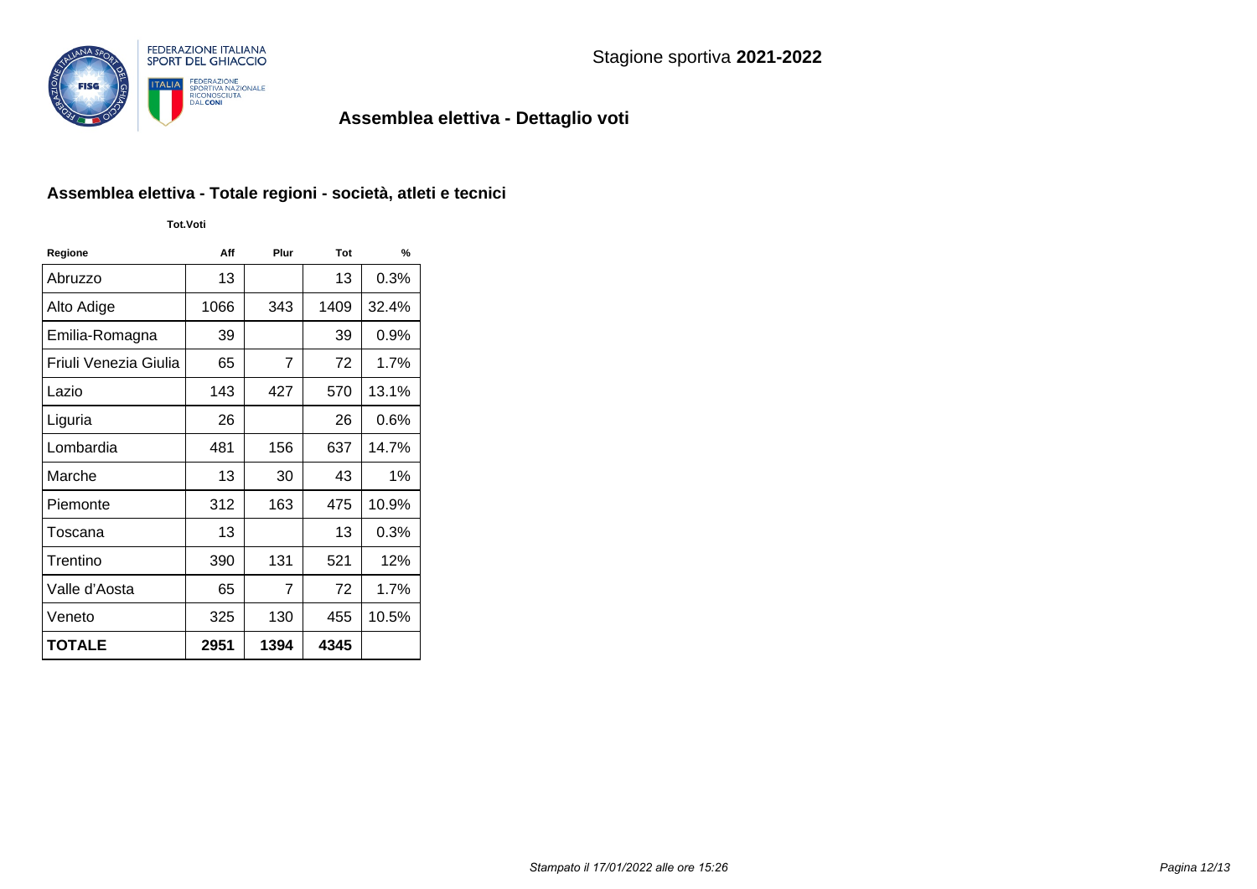

### **Assemblea elettiva - Totale regioni - società, atleti e tecnici**

**Tot.Voti**

| Regione               | Aff  | Plur | Tot  | $\frac{9}{6}$ |
|-----------------------|------|------|------|---------------|
| Abruzzo               | 13   |      | 13   | 0.3%          |
| Alto Adige            | 1066 | 343  | 1409 | 32.4%         |
| Emilia-Romagna        | 39   |      | 39   | $0.9\%$       |
| Friuli Venezia Giulia | 65   | 7    | 72   | 1.7%          |
| Lazio                 | 143  | 427  | 570  | 13.1%         |
| Liguria               | 26   |      | 26   | 0.6%          |
| Lombardia             | 481  | 156  | 637  | 14.7%         |
| Marche                | 13   | 30   | 43   | $1\%$         |
| Piemonte              | 312  | 163  | 475  | 10.9%         |
| Toscana               | 13   |      | 13   | $0.3\%$       |
| Trentino              | 390  | 131  | 521  | 12%           |
| Valle d'Aosta         | 65   | 7    | 72   | 1.7%          |
| Veneto                | 325  | 130  | 455  | 10.5%         |
| <b>TOTALE</b>         | 2951 | 1394 | 4345 |               |